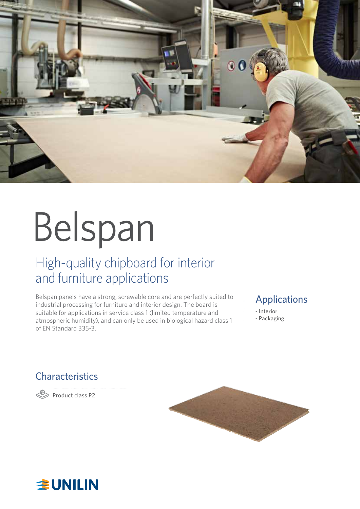

# Belspan

# High-quality chipboard for interior and furniture applications

Belspan panels have a strong, screwable core and are perfectly suited to industrial processing for furniture and interior design. The board is suitable for applications in service class 1 (limited temperature and atmospheric humidity), and can only be used in biological hazard class 1 of EN Standard 335-3.

#### Applications

- Interior - Packaging

## **Characteristics**

**P** Product class P2